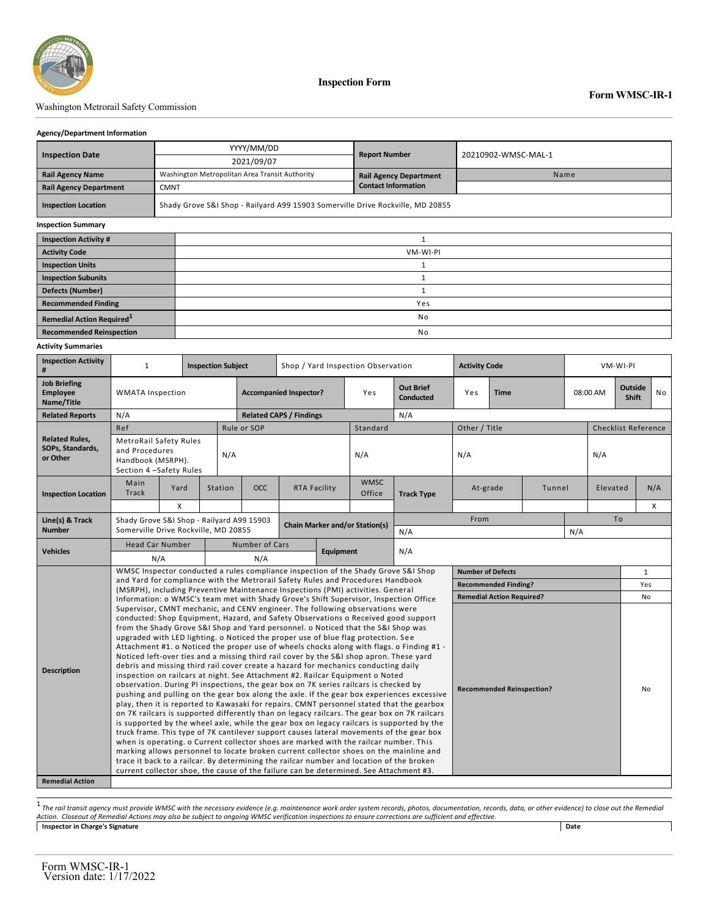

### Washington Metrorail Safety Commission

#### **Agency/Department Information**

|                               |             | YYYY/MM/DD                                                                     | <b>Report Number</b>          | 20210902-WMSC-MAL-1 |  |  |  |  |  |  |  |
|-------------------------------|-------------|--------------------------------------------------------------------------------|-------------------------------|---------------------|--|--|--|--|--|--|--|
| <b>Inspection Date</b>        |             | 2021/09/07                                                                     |                               |                     |  |  |  |  |  |  |  |
| <b>Rail Agency Name</b>       |             | Washington Metropolitan Area Transit Authority                                 | <b>Rail Agency Department</b> | Name                |  |  |  |  |  |  |  |
| <b>Rail Agency Department</b> | <b>CMNT</b> |                                                                                | <b>Contact Information</b>    |                     |  |  |  |  |  |  |  |
| <b>Inspection Location</b>    |             | Shady Grove S&I Shop - Railyard A99 15903 Somerville Drive Rockville, MD 20855 |                               |                     |  |  |  |  |  |  |  |
| <b>Inspection Summary</b>     |             |                                                                                |                               |                     |  |  |  |  |  |  |  |
| <b>Inspection Activity #</b>  |             |                                                                                |                               |                     |  |  |  |  |  |  |  |
| <b>Activity Code</b>          |             | VM-WI-PI                                                                       |                               |                     |  |  |  |  |  |  |  |
| <b>Inspection Units</b>       |             |                                                                                |                               |                     |  |  |  |  |  |  |  |
| <b>Inspection Subunits</b>    |             |                                                                                |                               |                     |  |  |  |  |  |  |  |
| <b>Defects (Number)</b>       |             |                                                                                |                               |                     |  |  |  |  |  |  |  |
| <b>Recommended Finding</b>    |             | Yes                                                                            |                               |                     |  |  |  |  |  |  |  |

#### **Activity Summaries**

|                                                                                                                                                                                                                                                                                                                                                                |                                                                                                                                                                                                                                                                                                                                                                                                                                                                                                                                                                                                                                                                                                                                                                                                                                                                                                                                                                                                                                                                                                                                                                                                                                                                                                                                                                                                                                                                                                                                                                                                                                                                                                                                                                                                    |                           |                           |             |             |                                                                                |                                    |                                                                                    | <b>Inspection Form</b>                                                          |                                                             |                                                                 |                    |          |          |                            |                  |     |
|----------------------------------------------------------------------------------------------------------------------------------------------------------------------------------------------------------------------------------------------------------------------------------------------------------------------------------------------------------------|----------------------------------------------------------------------------------------------------------------------------------------------------------------------------------------------------------------------------------------------------------------------------------------------------------------------------------------------------------------------------------------------------------------------------------------------------------------------------------------------------------------------------------------------------------------------------------------------------------------------------------------------------------------------------------------------------------------------------------------------------------------------------------------------------------------------------------------------------------------------------------------------------------------------------------------------------------------------------------------------------------------------------------------------------------------------------------------------------------------------------------------------------------------------------------------------------------------------------------------------------------------------------------------------------------------------------------------------------------------------------------------------------------------------------------------------------------------------------------------------------------------------------------------------------------------------------------------------------------------------------------------------------------------------------------------------------------------------------------------------------------------------------------------------------|---------------------------|---------------------------|-------------|-------------|--------------------------------------------------------------------------------|------------------------------------|------------------------------------------------------------------------------------|---------------------------------------------------------------------------------|-------------------------------------------------------------|-----------------------------------------------------------------|--------------------|----------|----------|----------------------------|------------------|-----|
| Washington Metrorail Safety Commission                                                                                                                                                                                                                                                                                                                         |                                                                                                                                                                                                                                                                                                                                                                                                                                                                                                                                                                                                                                                                                                                                                                                                                                                                                                                                                                                                                                                                                                                                                                                                                                                                                                                                                                                                                                                                                                                                                                                                                                                                                                                                                                                                    |                           |                           |             |             |                                                                                |                                    |                                                                                    |                                                                                 |                                                             |                                                                 |                    |          |          | <b>Form WMSC-IR-1</b>      |                  |     |
| <b>Agency/Department Information</b>                                                                                                                                                                                                                                                                                                                           |                                                                                                                                                                                                                                                                                                                                                                                                                                                                                                                                                                                                                                                                                                                                                                                                                                                                                                                                                                                                                                                                                                                                                                                                                                                                                                                                                                                                                                                                                                                                                                                                                                                                                                                                                                                                    |                           |                           |             |             |                                                                                |                                    |                                                                                    |                                                                                 |                                                             |                                                                 |                    |          |          |                            |                  |     |
| <b>Inspection Date</b>                                                                                                                                                                                                                                                                                                                                         |                                                                                                                                                                                                                                                                                                                                                                                                                                                                                                                                                                                                                                                                                                                                                                                                                                                                                                                                                                                                                                                                                                                                                                                                                                                                                                                                                                                                                                                                                                                                                                                                                                                                                                                                                                                                    |                           | YYYY/MM/DD                |             |             |                                                                                |                                    |                                                                                    |                                                                                 | <b>Report Number</b>                                        | 20210902-WMSC-MAL-1                                             |                    |          |          |                            |                  |     |
|                                                                                                                                                                                                                                                                                                                                                                |                                                                                                                                                                                                                                                                                                                                                                                                                                                                                                                                                                                                                                                                                                                                                                                                                                                                                                                                                                                                                                                                                                                                                                                                                                                                                                                                                                                                                                                                                                                                                                                                                                                                                                                                                                                                    |                           | 2021/09/07                |             |             |                                                                                |                                    |                                                                                    |                                                                                 |                                                             |                                                                 |                    |          |          |                            |                  |     |
| <b>Rail Agency Name</b>                                                                                                                                                                                                                                                                                                                                        |                                                                                                                                                                                                                                                                                                                                                                                                                                                                                                                                                                                                                                                                                                                                                                                                                                                                                                                                                                                                                                                                                                                                                                                                                                                                                                                                                                                                                                                                                                                                                                                                                                                                                                                                                                                                    |                           |                           |             |             | Washington Metropolitan Area Transit Authority                                 |                                    |                                                                                    |                                                                                 | <b>Rail Agency Department</b><br><b>Contact Information</b> |                                                                 | Name               |          |          |                            |                  |     |
| <b>Rail Agency Department</b><br><b>Inspection Location</b>                                                                                                                                                                                                                                                                                                    | <b>CMNT</b>                                                                                                                                                                                                                                                                                                                                                                                                                                                                                                                                                                                                                                                                                                                                                                                                                                                                                                                                                                                                                                                                                                                                                                                                                                                                                                                                                                                                                                                                                                                                                                                                                                                                                                                                                                                        |                           |                           |             |             | Shady Grove S&I Shop - Railyard A99 15903 Somerville Drive Rockville, MD 20855 |                                    |                                                                                    |                                                                                 |                                                             |                                                                 |                    |          |          |                            |                  |     |
| <b>Inspection Summary</b>                                                                                                                                                                                                                                                                                                                                      |                                                                                                                                                                                                                                                                                                                                                                                                                                                                                                                                                                                                                                                                                                                                                                                                                                                                                                                                                                                                                                                                                                                                                                                                                                                                                                                                                                                                                                                                                                                                                                                                                                                                                                                                                                                                    |                           |                           |             |             |                                                                                |                                    |                                                                                    |                                                                                 |                                                             |                                                                 |                    |          |          |                            |                  |     |
| <b>Inspection Activity #</b>                                                                                                                                                                                                                                                                                                                                   |                                                                                                                                                                                                                                                                                                                                                                                                                                                                                                                                                                                                                                                                                                                                                                                                                                                                                                                                                                                                                                                                                                                                                                                                                                                                                                                                                                                                                                                                                                                                                                                                                                                                                                                                                                                                    |                           |                           |             |             |                                                                                |                                    |                                                                                    |                                                                                 | $\mathbf{1}$                                                |                                                                 |                    |          |          |                            |                  |     |
| <b>Activity Code</b>                                                                                                                                                                                                                                                                                                                                           |                                                                                                                                                                                                                                                                                                                                                                                                                                                                                                                                                                                                                                                                                                                                                                                                                                                                                                                                                                                                                                                                                                                                                                                                                                                                                                                                                                                                                                                                                                                                                                                                                                                                                                                                                                                                    |                           |                           | VM-WI-PI    |             |                                                                                |                                    |                                                                                    |                                                                                 |                                                             |                                                                 |                    |          |          |                            |                  |     |
| <b>Inspection Units</b>                                                                                                                                                                                                                                                                                                                                        |                                                                                                                                                                                                                                                                                                                                                                                                                                                                                                                                                                                                                                                                                                                                                                                                                                                                                                                                                                                                                                                                                                                                                                                                                                                                                                                                                                                                                                                                                                                                                                                                                                                                                                                                                                                                    |                           |                           |             |             | 1                                                                              |                                    |                                                                                    |                                                                                 |                                                             |                                                                 |                    |          |          |                            |                  |     |
| <b>Inspection Subunits</b>                                                                                                                                                                                                                                                                                                                                     |                                                                                                                                                                                                                                                                                                                                                                                                                                                                                                                                                                                                                                                                                                                                                                                                                                                                                                                                                                                                                                                                                                                                                                                                                                                                                                                                                                                                                                                                                                                                                                                                                                                                                                                                                                                                    |                           |                           |             | $\mathbf 1$ |                                                                                |                                    |                                                                                    |                                                                                 |                                                             |                                                                 |                    |          |          |                            |                  |     |
| Defects (Number)                                                                                                                                                                                                                                                                                                                                               |                                                                                                                                                                                                                                                                                                                                                                                                                                                                                                                                                                                                                                                                                                                                                                                                                                                                                                                                                                                                                                                                                                                                                                                                                                                                                                                                                                                                                                                                                                                                                                                                                                                                                                                                                                                                    |                           |                           | $\mathbf 1$ |             |                                                                                |                                    |                                                                                    |                                                                                 |                                                             |                                                                 |                    |          |          |                            |                  |     |
| <b>Recommended Finding</b>                                                                                                                                                                                                                                                                                                                                     |                                                                                                                                                                                                                                                                                                                                                                                                                                                                                                                                                                                                                                                                                                                                                                                                                                                                                                                                                                                                                                                                                                                                                                                                                                                                                                                                                                                                                                                                                                                                                                                                                                                                                                                                                                                                    |                           |                           |             |             |                                                                                |                                    |                                                                                    |                                                                                 | Yes                                                         |                                                                 |                    |          |          |                            |                  |     |
| Remedial Action Required <sup>1</sup>                                                                                                                                                                                                                                                                                                                          |                                                                                                                                                                                                                                                                                                                                                                                                                                                                                                                                                                                                                                                                                                                                                                                                                                                                                                                                                                                                                                                                                                                                                                                                                                                                                                                                                                                                                                                                                                                                                                                                                                                                                                                                                                                                    |                           |                           |             |             |                                                                                |                                    |                                                                                    |                                                                                 | No                                                          |                                                                 |                    |          |          |                            |                  |     |
| <b>Recommended Reinspection</b>                                                                                                                                                                                                                                                                                                                                |                                                                                                                                                                                                                                                                                                                                                                                                                                                                                                                                                                                                                                                                                                                                                                                                                                                                                                                                                                                                                                                                                                                                                                                                                                                                                                                                                                                                                                                                                                                                                                                                                                                                                                                                                                                                    |                           |                           |             |             |                                                                                |                                    |                                                                                    |                                                                                 | No                                                          |                                                                 |                    |          |          |                            |                  |     |
| Activity Summaries                                                                                                                                                                                                                                                                                                                                             |                                                                                                                                                                                                                                                                                                                                                                                                                                                                                                                                                                                                                                                                                                                                                                                                                                                                                                                                                                                                                                                                                                                                                                                                                                                                                                                                                                                                                                                                                                                                                                                                                                                                                                                                                                                                    |                           |                           |             |             |                                                                                |                                    |                                                                                    |                                                                                 |                                                             |                                                                 |                    |          |          |                            |                  |     |
| <b>Inspection Activity</b><br>#                                                                                                                                                                                                                                                                                                                                | $\mathbf{1}$                                                                                                                                                                                                                                                                                                                                                                                                                                                                                                                                                                                                                                                                                                                                                                                                                                                                                                                                                                                                                                                                                                                                                                                                                                                                                                                                                                                                                                                                                                                                                                                                                                                                                                                                                                                       | <b>Inspection Subject</b> |                           |             |             |                                                                                | Shop / Yard Inspection Observation |                                                                                    |                                                                                 |                                                             | <b>Activity Code</b>                                            |                    |          |          | VM-WI-PI                   |                  |     |
| <b>Job Briefing</b><br><b>Employee</b><br>Name/Title                                                                                                                                                                                                                                                                                                           | <b>WMATA Inspection</b>                                                                                                                                                                                                                                                                                                                                                                                                                                                                                                                                                                                                                                                                                                                                                                                                                                                                                                                                                                                                                                                                                                                                                                                                                                                                                                                                                                                                                                                                                                                                                                                                                                                                                                                                                                            |                           |                           |             |             |                                                                                | <b>Accompanied Inspector?</b>      |                                                                                    | Yes                                                                             | <b>Out Brief</b><br><b>Conducted</b>                        | Yes                                                             | Time               | 08:00 AM |          |                            | Outside<br>Shift | No  |
| <b>Related Reports</b>                                                                                                                                                                                                                                                                                                                                         | N/A                                                                                                                                                                                                                                                                                                                                                                                                                                                                                                                                                                                                                                                                                                                                                                                                                                                                                                                                                                                                                                                                                                                                                                                                                                                                                                                                                                                                                                                                                                                                                                                                                                                                                                                                                                                                |                           |                           |             |             |                                                                                | <b>Related CAPS / Findings</b>     |                                                                                    |                                                                                 | N/A                                                         |                                                                 |                    |          |          |                            |                  |     |
|                                                                                                                                                                                                                                                                                                                                                                | Ref                                                                                                                                                                                                                                                                                                                                                                                                                                                                                                                                                                                                                                                                                                                                                                                                                                                                                                                                                                                                                                                                                                                                                                                                                                                                                                                                                                                                                                                                                                                                                                                                                                                                                                                                                                                                |                           |                           |             | Rule or SOP |                                                                                |                                    |                                                                                    | Standard                                                                        |                                                             | Other / Title                                                   |                    |          |          | <b>Checklist Reference</b> |                  |     |
| <b>Related Rules,</b><br>SOPs, Standards,<br>or Other                                                                                                                                                                                                                                                                                                          | <b>MetroRail Safety Rules</b><br>and Procedures<br>Handbook (MSRPH).<br>Section 4 -Safety Rules                                                                                                                                                                                                                                                                                                                                                                                                                                                                                                                                                                                                                                                                                                                                                                                                                                                                                                                                                                                                                                                                                                                                                                                                                                                                                                                                                                                                                                                                                                                                                                                                                                                                                                    | N/A                       |                           |             |             |                                                                                |                                    | N/A                                                                                |                                                                                 |                                                             | N/A                                                             |                    |          | N/A      |                            |                  |     |
| <b>Inspection Location</b>                                                                                                                                                                                                                                                                                                                                     | Main<br>Track                                                                                                                                                                                                                                                                                                                                                                                                                                                                                                                                                                                                                                                                                                                                                                                                                                                                                                                                                                                                                                                                                                                                                                                                                                                                                                                                                                                                                                                                                                                                                                                                                                                                                                                                                                                      |                           | Yard                      | Station     |             | <b>OCC</b>                                                                     | <b>RTA Facility</b>                |                                                                                    | <b>WMSC</b><br>Office                                                           | <b>Track Type</b>                                           |                                                                 | At-grade<br>Tunnel |          | Elevated |                            |                  | N/A |
|                                                                                                                                                                                                                                                                                                                                                                |                                                                                                                                                                                                                                                                                                                                                                                                                                                                                                                                                                                                                                                                                                                                                                                                                                                                                                                                                                                                                                                                                                                                                                                                                                                                                                                                                                                                                                                                                                                                                                                                                                                                                                                                                                                                    |                           | $\boldsymbol{\mathsf{x}}$ |             |             |                                                                                |                                    |                                                                                    |                                                                                 |                                                             |                                                                 |                    |          |          |                            | Χ                |     |
| Line(s) & Track<br><b>Number</b>                                                                                                                                                                                                                                                                                                                               | Shady Grove S&I Shop - Railyard A99 15903<br>Somerville Drive Rockville, MD 20855                                                                                                                                                                                                                                                                                                                                                                                                                                                                                                                                                                                                                                                                                                                                                                                                                                                                                                                                                                                                                                                                                                                                                                                                                                                                                                                                                                                                                                                                                                                                                                                                                                                                                                                  |                           |                           |             |             |                                                                                |                                    |                                                                                    | <b>Chain Marker and/or Station(s)</b>                                           | N/A                                                         | From                                                            |                    |          | N/A      | To                         |                  |     |
| <b>Vehicles</b>                                                                                                                                                                                                                                                                                                                                                | <b>Head Car Number</b>                                                                                                                                                                                                                                                                                                                                                                                                                                                                                                                                                                                                                                                                                                                                                                                                                                                                                                                                                                                                                                                                                                                                                                                                                                                                                                                                                                                                                                                                                                                                                                                                                                                                                                                                                                             |                           |                           |             |             | Number of Cars                                                                 |                                    | <b>Equipment</b>                                                                   |                                                                                 | N/A                                                         |                                                                 |                    |          |          |                            |                  |     |
|                                                                                                                                                                                                                                                                                                                                                                |                                                                                                                                                                                                                                                                                                                                                                                                                                                                                                                                                                                                                                                                                                                                                                                                                                                                                                                                                                                                                                                                                                                                                                                                                                                                                                                                                                                                                                                                                                                                                                                                                                                                                                                                                                                                    | N/A                       |                           |             |             | N/A                                                                            |                                    | WMSC Inspector conducted a rules compliance inspection of the Shady Grove S&I Shop |                                                                                 |                                                             |                                                                 |                    |          |          |                            | $\mathbf{1}$     |     |
|                                                                                                                                                                                                                                                                                                                                                                |                                                                                                                                                                                                                                                                                                                                                                                                                                                                                                                                                                                                                                                                                                                                                                                                                                                                                                                                                                                                                                                                                                                                                                                                                                                                                                                                                                                                                                                                                                                                                                                                                                                                                                                                                                                                    |                           |                           |             |             |                                                                                |                                    |                                                                                    | and Yard for compliance with the Metrorail Safety Rules and Procedures Handbook |                                                             | <b>Number of Defects</b>                                        |                    |          |          |                            |                  |     |
|                                                                                                                                                                                                                                                                                                                                                                |                                                                                                                                                                                                                                                                                                                                                                                                                                                                                                                                                                                                                                                                                                                                                                                                                                                                                                                                                                                                                                                                                                                                                                                                                                                                                                                                                                                                                                                                                                                                                                                                                                                                                                                                                                                                    |                           |                           |             |             |                                                                                |                                    |                                                                                    | (MSRPH), including Preventive Maintenance Inspections (PMI) activities. General |                                                             | <b>Recommended Finding?</b><br><b>Remedial Action Required?</b> |                    |          |          |                            | Yes<br>No        |     |
| <b>Description</b>                                                                                                                                                                                                                                                                                                                                             | Information: o WMSC's team met with Shady Grove's Shift Supervisor, Inspection Office<br>Supervisor, CMNT mechanic, and CENV engineer. The following observations were<br>conducted: Shop Equipment, Hazard, and Safety Observations o Received good support<br>from the Shady Grove S&I Shop and Yard personnel. o Noticed that the S&I Shop was<br>upgraded with LED lighting. o Noticed the proper use of blue flag protection. See<br>Attachment #1. o Noticed the proper use of wheels chocks along with flags. o Finding #1 -<br>Noticed left-over ties and a missing third rail cover by the S&I shop apron. These yard<br>debris and missing third rail cover create a hazard for mechanics conducting daily<br>inspection on railcars at night. See Attachment #2. Railcar Equipment o Noted<br>observation. During PI inspections, the gear box on 7K series railcars is checked by<br><b>Recommended Reinspection?</b><br>No<br>pushing and pulling on the gear box along the axle. If the gear box experiences excessive<br>play, then it is reported to Kawasaki for repairs. CMNT personnel stated that the gearbox<br>on 7K railcars is supported differently than on legacy railcars. The gear box on 7K railcars<br>is supported by the wheel axle, while the gear box on legacy railcars is supported by the<br>truck frame. This type of 7K cantilever support causes lateral movements of the gear box<br>when is operating. o Current collector shoes are marked with the railcar number. This<br>marking allows personnel to locate broken current collector shoes on the mainline and<br>trace it back to a railcar. By determining the railcar number and location of the broken<br>current collector shoe, the cause of the failure can be determined. See Attachment #3. |                           |                           |             |             |                                                                                |                                    |                                                                                    |                                                                                 |                                                             |                                                                 |                    |          |          |                            |                  |     |
| <b>Remedial Action</b>                                                                                                                                                                                                                                                                                                                                         |                                                                                                                                                                                                                                                                                                                                                                                                                                                                                                                                                                                                                                                                                                                                                                                                                                                                                                                                                                                                                                                                                                                                                                                                                                                                                                                                                                                                                                                                                                                                                                                                                                                                                                                                                                                                    |                           |                           |             |             |                                                                                |                                    |                                                                                    |                                                                                 |                                                             |                                                                 |                    |          |          |                            |                  |     |
| The rail transit agency must provide WMSC with the necessary evidence (e.g. maintenance work order system records, photos, documentation, records, data, or other evidence) to close out the Remedial<br>Action. Closeout of Remedial Actions may also be subject to ongoing WMSC verification inspections to ensure corrections are sufficient and effective. |                                                                                                                                                                                                                                                                                                                                                                                                                                                                                                                                                                                                                                                                                                                                                                                                                                                                                                                                                                                                                                                                                                                                                                                                                                                                                                                                                                                                                                                                                                                                                                                                                                                                                                                                                                                                    |                           |                           |             |             |                                                                                |                                    |                                                                                    |                                                                                 |                                                             |                                                                 |                    |          |          |                            |                  |     |
| <b>Inspector in Charge's Signature</b>                                                                                                                                                                                                                                                                                                                         |                                                                                                                                                                                                                                                                                                                                                                                                                                                                                                                                                                                                                                                                                                                                                                                                                                                                                                                                                                                                                                                                                                                                                                                                                                                                                                                                                                                                                                                                                                                                                                                                                                                                                                                                                                                                    |                           |                           |             |             |                                                                                |                                    |                                                                                    |                                                                                 |                                                             |                                                                 |                    |          | Date     |                            |                  |     |